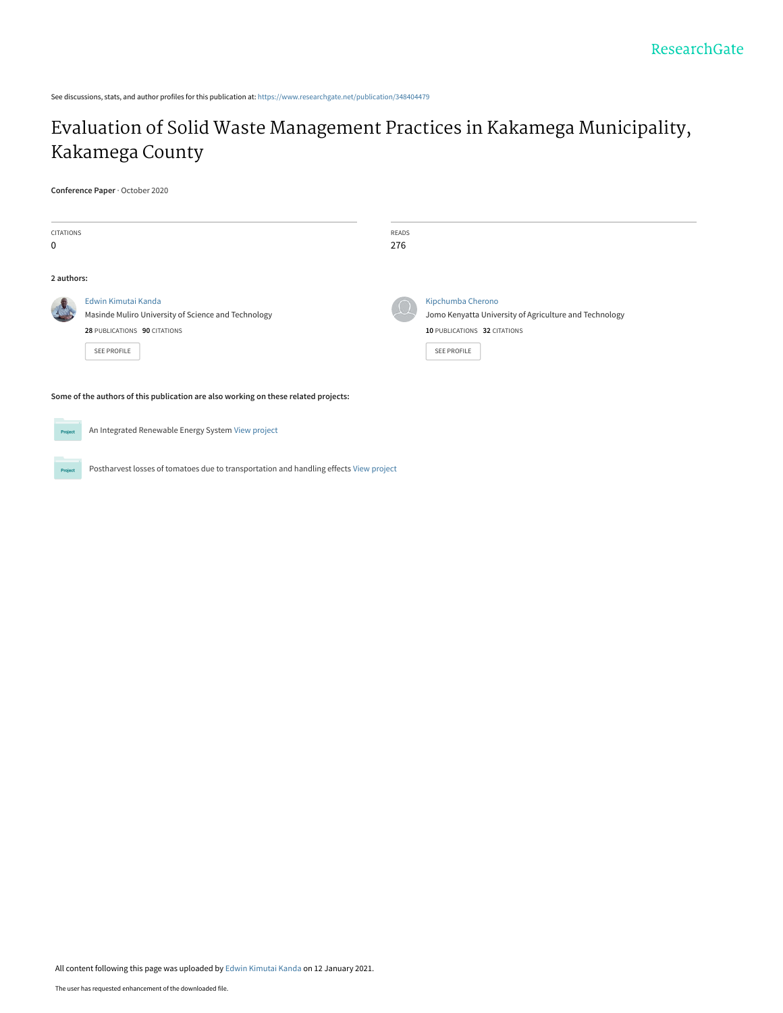See discussions, stats, and author profiles for this publication at: [https://www.researchgate.net/publication/348404479](https://www.researchgate.net/publication/348404479_Evaluation_of_Solid_Waste_Management_Practices_in_Kakamega_Municipality_Kakamega_County?enrichId=rgreq-4026e2a06ab219837081dde093651c18-XXX&enrichSource=Y292ZXJQYWdlOzM0ODQwNDQ3OTtBUzo5NzkwMzU4MTU0MjgwOThAMTYxMDQzMTczNjM1OQ%3D%3D&el=1_x_2&_esc=publicationCoverPdf)

# [Evaluation of Solid Waste Management Practices in Kakamega Municipality,](https://www.researchgate.net/publication/348404479_Evaluation_of_Solid_Waste_Management_Practices_in_Kakamega_Municipality_Kakamega_County?enrichId=rgreq-4026e2a06ab219837081dde093651c18-XXX&enrichSource=Y292ZXJQYWdlOzM0ODQwNDQ3OTtBUzo5NzkwMzU4MTU0MjgwOThAMTYxMDQzMTczNjM1OQ%3D%3D&el=1_x_3&_esc=publicationCoverPdf) Kakamega County

#### **Conference Paper** · October 2020

| <b>CITATIONS</b><br>$\mathbf 0$ |                                                                                                                                  | READS<br>276 |                                                                                                                                   |
|---------------------------------|----------------------------------------------------------------------------------------------------------------------------------|--------------|-----------------------------------------------------------------------------------------------------------------------------------|
| 2 authors:                      |                                                                                                                                  |              |                                                                                                                                   |
|                                 | Edwin Kimutai Kanda<br>Masinde Muliro University of Science and Technology<br>28 PUBLICATIONS 90 CITATIONS<br><b>SEE PROFILE</b> |              | Kipchumba Cherono<br>Jomo Kenyatta University of Agriculture and Technology<br>10 PUBLICATIONS 32 CITATIONS<br><b>SEE PROFILE</b> |

**Some of the authors of this publication are also working on these related projects:**

An Integrated Renewable Energy System [View project](https://www.researchgate.net/project/An-Integrated-Renewable-Energy-System?enrichId=rgreq-4026e2a06ab219837081dde093651c18-XXX&enrichSource=Y292ZXJQYWdlOzM0ODQwNDQ3OTtBUzo5NzkwMzU4MTU0MjgwOThAMTYxMDQzMTczNjM1OQ%3D%3D&el=1_x_9&_esc=publicationCoverPdf) Project

Project

Postharvest losses of tomatoes due to transportation and handling effects [View project](https://www.researchgate.net/project/Postharvest-losses-of-tomatoes-due-to-transportation-and-handling-effects?enrichId=rgreq-4026e2a06ab219837081dde093651c18-XXX&enrichSource=Y292ZXJQYWdlOzM0ODQwNDQ3OTtBUzo5NzkwMzU4MTU0MjgwOThAMTYxMDQzMTczNjM1OQ%3D%3D&el=1_x_9&_esc=publicationCoverPdf)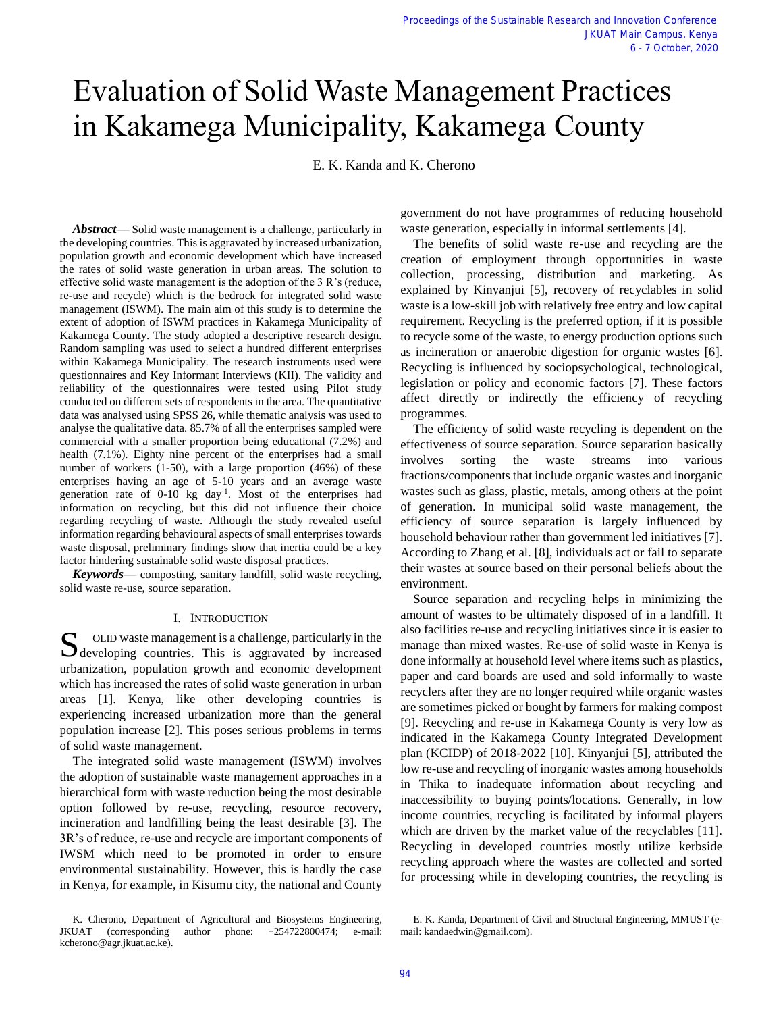# Evaluation of Solid Waste Management Practices in Kakamega Municipality, Kakamega County

E. K. Kanda and K. Cherono

*Abstract***—** Solid waste management is a challenge, particularly in the developing countries. This is aggravated by increased urbanization, population growth and economic development which have increased the rates of solid waste generation in urban areas. The solution to effective solid waste management is the adoption of the 3 R's (reduce, re-use and recycle) which is the bedrock for integrated solid waste management (ISWM). The main aim of this study is to determine the extent of adoption of ISWM practices in Kakamega Municipality of Kakamega County. The study adopted a descriptive research design. Random sampling was used to select a hundred different enterprises within Kakamega Municipality. The research instruments used were questionnaires and Key Informant Interviews (KII). The validity and reliability of the questionnaires were tested using Pilot study conducted on different sets of respondents in the area. The quantitative data was analysed using SPSS 26, while thematic analysis was used to analyse the qualitative data. 85.7% of all the enterprises sampled were commercial with a smaller proportion being educational (7.2%) and health (7.1%). Eighty nine percent of the enterprises had a small number of workers (1-50), with a large proportion (46%) of these enterprises having an age of 5-10 years and an average waste generation rate of 0-10 kg day-1 . Most of the enterprises had information on recycling, but this did not influence their choice regarding recycling of waste. Although the study revealed useful information regarding behavioural aspects of small enterprises towards waste disposal, preliminary findings show that inertia could be a key factor hindering sustainable solid waste disposal practices.

*Keywords***—** composting, sanitary landfill, solid waste recycling, solid waste re-use, source separation.

### I. INTRODUCTION

OLID waste management is a challenge, particularly in the S oLID waste management is a challenge, particularly in the developing countries. This is aggravated by increased urbanization, population growth and economic development which has increased the rates of solid waste generation in urban areas [1]. Kenya, like other developing countries is experiencing increased urbanization more than the general population increase [2]. This poses serious problems in terms of solid waste management.

The integrated solid waste management (ISWM) involves the adoption of sustainable waste management approaches in a hierarchical form with waste reduction being the most desirable option followed by re-use, recycling, resource recovery, incineration and landfilling being the least desirable [3]. The 3R's of reduce, re-use and recycle are important components of IWSM which need to be promoted in order to ensure environmental sustainability. However, this is hardly the case in Kenya, for example, in Kisumu city, the national and County

K. Cherono, Department of Agricultural and Biosystems Engineering, JKUAT (corresponding author phone: +254722800474; e-mail: kcherono@agr.jkuat.ac.ke).

government do not have programmes of reducing household waste generation, especially in informal settlements [4].

The benefits of solid waste re-use and recycling are the creation of employment through opportunities in waste collection, processing, distribution and marketing. As explained by Kinyanjui [5], recovery of recyclables in solid waste is a low-skill job with relatively free entry and low capital requirement. Recycling is the preferred option, if it is possible to recycle some of the waste, to energy production options such as incineration or anaerobic digestion for organic wastes [6]. Recycling is influenced by sociopsychological, technological, legislation or policy and economic factors [7]. These factors affect directly or indirectly the efficiency of recycling programmes.

The efficiency of solid waste recycling is dependent on the effectiveness of source separation. Source separation basically involves sorting the waste streams into various fractions/components that include organic wastes and inorganic wastes such as glass, plastic, metals, among others at the point of generation. In municipal solid waste management, the efficiency of source separation is largely influenced by household behaviour rather than government led initiatives [7]. According to Zhang et al. [8], individuals act or fail to separate their wastes at source based on their personal beliefs about the environment.

Source separation and recycling helps in minimizing the amount of wastes to be ultimately disposed of in a landfill. It also facilities re-use and recycling initiatives since it is easier to manage than mixed wastes. Re-use of solid waste in Kenya is done informally at household level where items such as plastics, paper and card boards are used and sold informally to waste recyclers after they are no longer required while organic wastes are sometimes picked or bought by farmers for making compost [9]. Recycling and re-use in Kakamega County is very low as indicated in the Kakamega County Integrated Development plan (KCIDP) of 2018-2022 [10]. Kinyanjui [5], attributed the low re-use and recycling of inorganic wastes among households in Thika to inadequate information about recycling and inaccessibility to buying points/locations. Generally, in low income countries, recycling is facilitated by informal players which are driven by the market value of the recyclables [11]. Recycling in developed countries mostly utilize kerbside recycling approach where the wastes are collected and sorted for processing while in developing countries, the recycling is

E. K. Kanda, Department of Civil and Structural Engineering, MMUST (email: kandaedwin@gmail.com).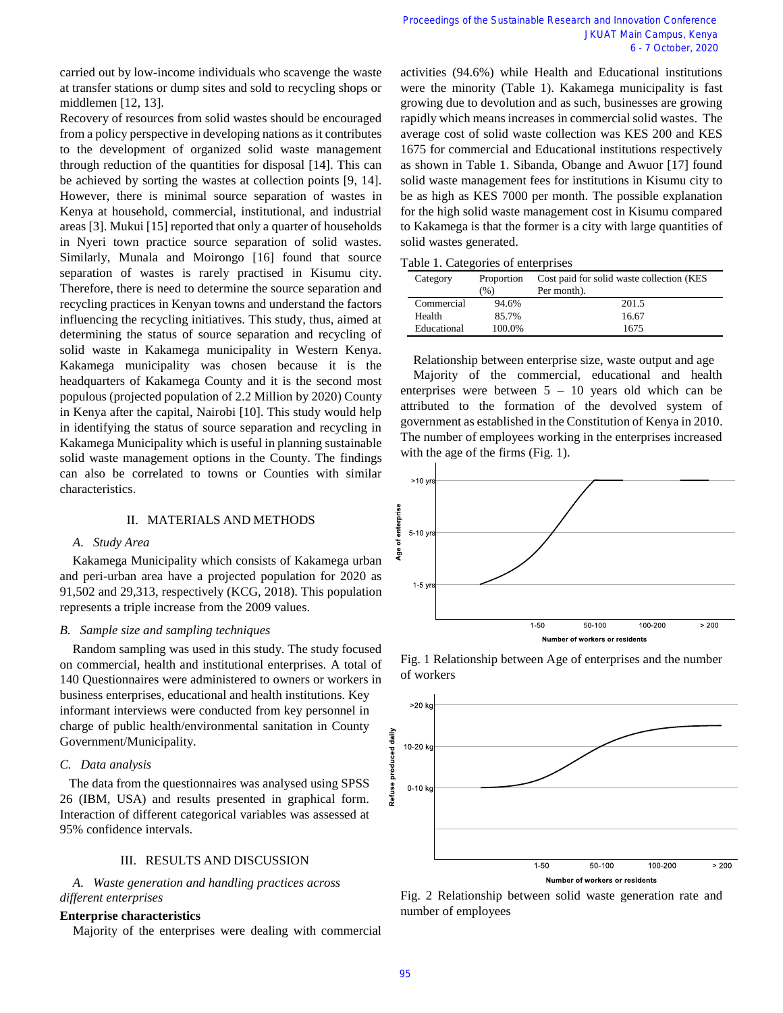carried out by low-income individuals who scavenge the waste at transfer stations or dump sites and sold to recycling shops or middlemen [12, 13].

Recovery of resources from solid wastes should be encouraged from a policy perspective in developing nations as it contributes to the development of organized solid waste management through reduction of the quantities for disposal [14]. This can be achieved by sorting the wastes at collection points [9, 14]. However, there is minimal source separation of wastes in Kenya at household, commercial, institutional, and industrial areas [3]. Mukui [15] reported that only a quarter of households in Nyeri town practice source separation of solid wastes. Similarly, Munala and Moirongo [16] found that source separation of wastes is rarely practised in Kisumu city. Therefore, there is need to determine the source separation and recycling practices in Kenyan towns and understand the factors influencing the recycling initiatives. This study, thus, aimed at determining the status of source separation and recycling of solid waste in Kakamega municipality in Western Kenya. Kakamega municipality was chosen because it is the headquarters of Kakamega County and it is the second most populous (projected population of 2.2 Million by 2020) County in Kenya after the capital, Nairobi [10]. This study would help in identifying the status of source separation and recycling in Kakamega Municipality which is useful in planning sustainable solid waste management options in the County. The findings can also be correlated to towns or Counties with similar characteristics.

# II. MATERIALS AND METHODS

### *A. Study Area*

Kakamega Municipality which consists of Kakamega urban and peri-urban area have a projected population for 2020 as 91,502 and 29,313, respectively (KCG, 2018). This population represents a triple increase from the 2009 values.

# *B. Sample size and sampling techniques*

Random sampling was used in this study. The study focused on commercial, health and institutional enterprises. A total of 140 Questionnaires were administered to owners or workers in business enterprises, educational and health institutions. Key informant interviews were conducted from key personnel in charge of public health/environmental sanitation in County Government/Municipality.

# *C. Data analysis*

The data from the questionnaires was analysed using SPSS 26 (IBM, USA) and results presented in graphical form. Interaction of different categorical variables was assessed at 95% confidence intervals.

# III. RESULTS AND DISCUSSION

*A. Waste generation and handling practices across different enterprises*

# **Enterprise characteristics**

Majority of the enterprises were dealing with commercial

activities (94.6%) while Health and Educational institutions were the minority (Table 1). Kakamega municipality is fast growing due to devolution and as such, businesses are growing rapidly which means increases in commercial solid wastes. The average cost of solid waste collection was KES 200 and KES 1675 for commercial and Educational institutions respectively as shown in Table 1. Sibanda, Obange and Awuor [17] found solid waste management fees for institutions in Kisumu city to be as high as KES 7000 per month. The possible explanation for the high solid waste management cost in Kisumu compared to Kakamega is that the former is a city with large quantities of solid wastes generated.

|  |  | Table 1. Categories of enterprises |
|--|--|------------------------------------|
|  |  |                                    |

| Category    | Proportion<br>(%) | Cost paid for solid waste collection (KES<br>Per month). |  |  |
|-------------|-------------------|----------------------------------------------------------|--|--|
| Commercial  | 94.6%             | 201.5                                                    |  |  |
| Health      | 85.7%             | 16.67                                                    |  |  |
| Educational | 100.0%            | 1675                                                     |  |  |

Relationship between enterprise size, waste output and age Majority of the commercial, educational and health enterprises were between  $5 - 10$  years old which can be attributed to the formation of the devolved system of government as established in the Constitution of Kenya in 2010. The number of employees working in the enterprises increased with the age of the firms (Fig. 1).



Fig. 1 Relationship between Age of enterprises and the number of workers



Fig. 2 Relationship between solid waste generation rate and number of employees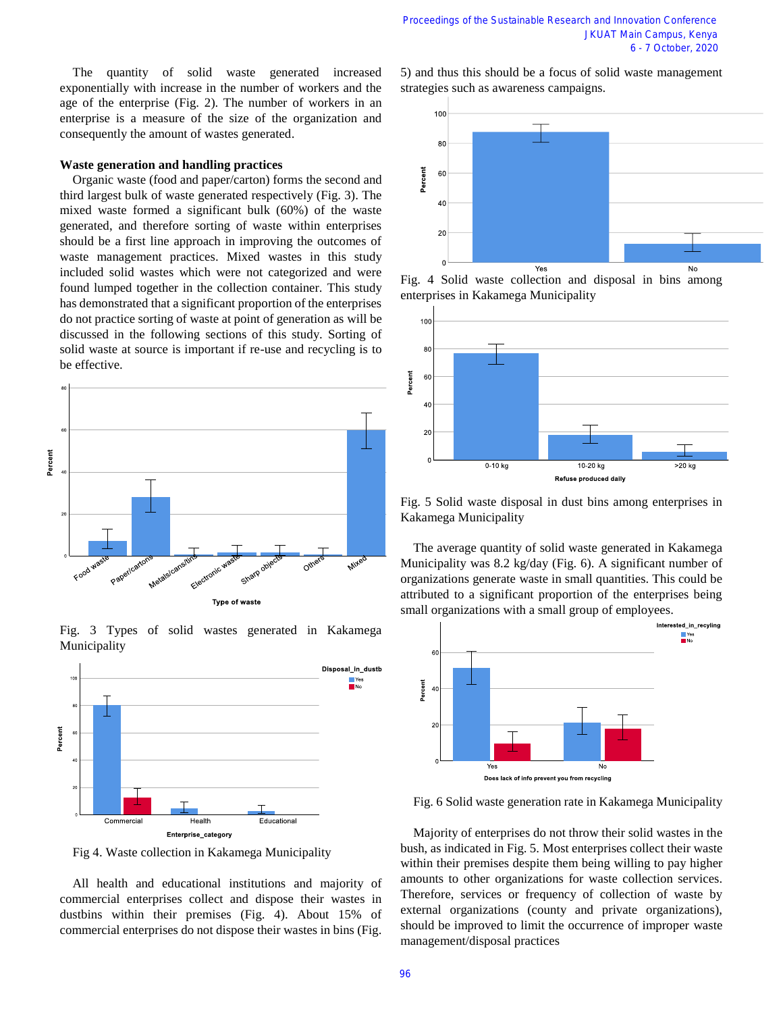The quantity of solid waste generated increased exponentially with increase in the number of workers and the age of the enterprise (Fig. 2). The number of workers in an enterprise is a measure of the size of the organization and consequently the amount of wastes generated.

#### **Waste generation and handling practices**

Organic waste (food and paper/carton) forms the second and third largest bulk of waste generated respectively (Fig. 3). The mixed waste formed a significant bulk (60%) of the waste generated, and therefore sorting of waste within enterprises should be a first line approach in improving the outcomes of waste management practices. Mixed wastes in this study included solid wastes which were not categorized and were found lumped together in the collection container. This study has demonstrated that a significant proportion of the enterprises do not practice sorting of waste at point of generation as will be discussed in the following sections of this study. Sorting of solid waste at source is important if re-use and recycling is to be effective.





Fig. 3 Types of solid wastes generated in Kakamega Municipality

Fig 4. Waste collection in Kakamega Municipality

All health and educational institutions and majority of commercial enterprises collect and dispose their wastes in dustbins within their premises (Fig. 4). About 15% of commercial enterprises do not dispose their wastes in bins (Fig.

5) and thus this should be a focus of solid waste management strategies such as awareness campaigns.



Fig. 4 Solid waste collection and disposal in bins among enterprises in Kakamega Municipality



Fig. 5 Solid waste disposal in dust bins among enterprises in Kakamega Municipality

The average quantity of solid waste generated in Kakamega Municipality was 8.2 kg/day (Fig. 6). A significant number of organizations generate waste in small quantities. This could be attributed to a significant proportion of the enterprises being small organizations with a small group of employees.



Fig. 6 Solid waste generation rate in Kakamega Municipality

Majority of enterprises do not throw their solid wastes in the bush, as indicated in Fig. 5. Most enterprises collect their waste within their premises despite them being willing to pay higher amounts to other organizations for waste collection services. Therefore, services or frequency of collection of waste by external organizations (county and private organizations), should be improved to limit the occurrence of improper waste management/disposal practices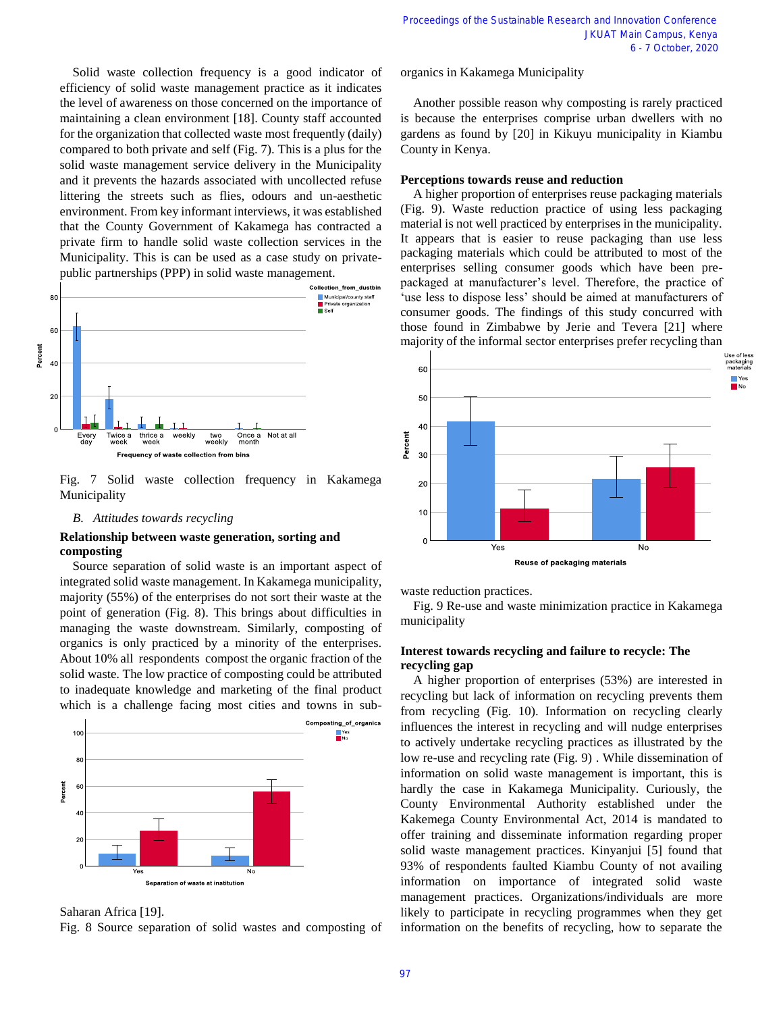Solid waste collection frequency is a good indicator of efficiency of solid waste management practice as it indicates the level of awareness on those concerned on the importance of maintaining a clean environment [18]. County staff accounted for the organization that collected waste most frequently (daily) compared to both private and self (Fig. 7). This is a plus for the solid waste management service delivery in the Municipality and it prevents the hazards associated with uncollected refuse littering the streets such as flies, odours and un-aesthetic environment. From key informant interviews, it was established that the County Government of Kakamega has contracted a private firm to handle solid waste collection services in the Municipality. This is can be used as a case study on privatepublic partnerships (PPP) in solid waste management.



Fig. 7 Solid waste collection frequency in Kakamega Municipality

# *B. Attitudes towards recycling*

# **Relationship between waste generation, sorting and composting**

Source separation of solid waste is an important aspect of integrated solid waste management. In Kakamega municipality, majority (55%) of the enterprises do not sort their waste at the point of generation (Fig. 8). This brings about difficulties in managing the waste downstream. Similarly, composting of organics is only practiced by a minority of the enterprises. About 10% all respondents compost the organic fraction of the solid waste. The low practice of composting could be attributed to inadequate knowledge and marketing of the final product which is a challenge facing most cities and towns in sub-



Saharan Africa [19].

Fig. 8 Source separation of solid wastes and composting of

organics in Kakamega Municipality

Another possible reason why composting is rarely practiced is because the enterprises comprise urban dwellers with no gardens as found by [20] in Kikuyu municipality in Kiambu County in Kenya.

# **Perceptions towards reuse and reduction**

A higher proportion of enterprises reuse packaging materials (Fig. 9). Waste reduction practice of using less packaging material is not well practiced by enterprises in the municipality. It appears that is easier to reuse packaging than use less packaging materials which could be attributed to most of the enterprises selling consumer goods which have been prepackaged at manufacturer's level. Therefore, the practice of 'use less to dispose less' should be aimed at manufacturers of consumer goods. The findings of this study concurred with those found in Zimbabwe by Jerie and Tevera [21] where majority of the informal sector enterprises prefer recycling than



waste reduction practices.

Fig. 9 Re-use and waste minimization practice in Kakamega municipality

# **Interest towards recycling and failure to recycle: The recycling gap**

A higher proportion of enterprises (53%) are interested in recycling but lack of information on recycling prevents them from recycling (Fig. 10). Information on recycling clearly influences the interest in recycling and will nudge enterprises to actively undertake recycling practices as illustrated by the low re-use and recycling rate (Fig. 9) . While dissemination of information on solid waste management is important, this is hardly the case in Kakamega Municipality. Curiously, the County Environmental Authority established under the Kakemega County Environmental Act, 2014 is mandated to offer training and disseminate information regarding proper solid waste management practices. Kinyanjui [5] found that 93% of respondents faulted Kiambu County of not availing information on importance of integrated solid waste management practices. Organizations/individuals are more likely to participate in recycling programmes when they get information on the benefits of recycling, how to separate the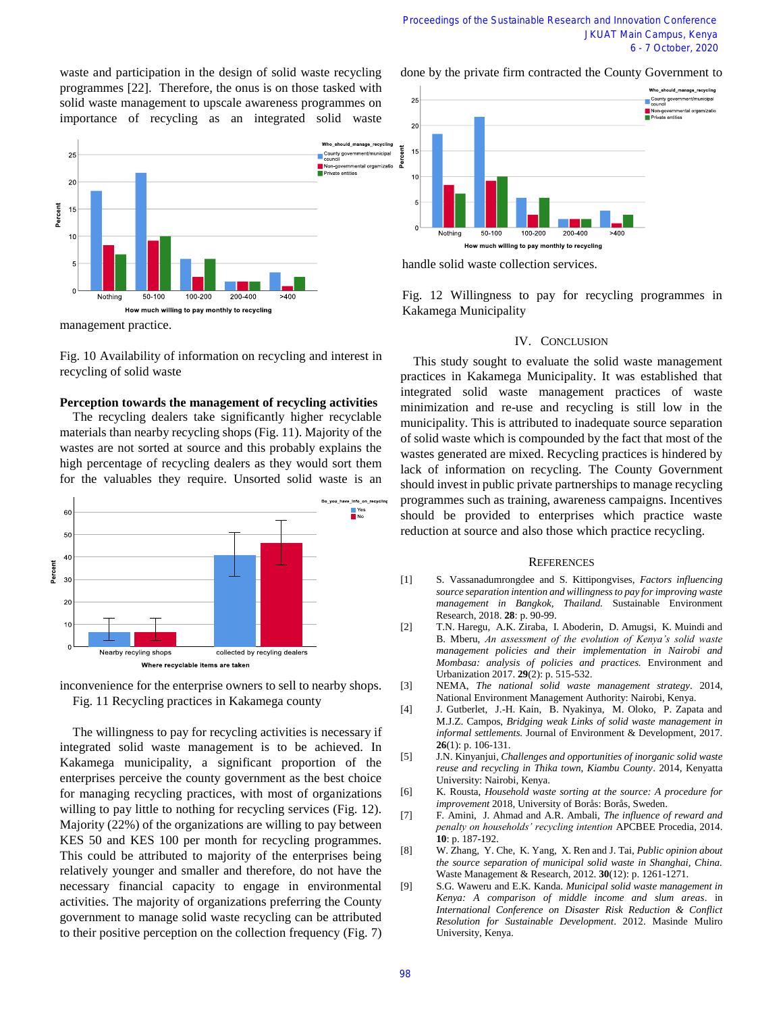waste and participation in the design of solid waste recycling programmes [22]. Therefore, the onus is on those tasked with solid waste management to upscale awareness programmes on importance of recycling as an integrated solid waste



Fig. 10 Availability of information on recycling and interest in recycling of solid waste

#### **Perception towards the management of recycling activities**

The recycling dealers take significantly higher recyclable materials than nearby recycling shops (Fig. 11). Majority of the wastes are not sorted at source and this probably explains the high percentage of recycling dealers as they would sort them for the valuables they require. Unsorted solid waste is an





The willingness to pay for recycling activities is necessary if integrated solid waste management is to be achieved. In Kakamega municipality, a significant proportion of the enterprises perceive the county government as the best choice for managing recycling practices, with most of organizations willing to pay little to nothing for recycling services (Fig. 12). Majority (22%) of the organizations are willing to pay between KES 50 and KES 100 per month for recycling programmes. This could be attributed to majority of the enterprises being relatively younger and smaller and therefore, do not have the necessary financial capacity to engage in environmental activities. The majority of organizations preferring the County government to manage solid waste recycling can be attributed to their positive perception on the collection frequency (Fig. 7) done by the private firm contracted the County Government to



handle solid waste collection services.

Fig. 12 Willingness to pay for recycling programmes in Kakamega Municipality

### IV. CONCLUSION

This study sought to evaluate the solid waste management practices in Kakamega Municipality. It was established that integrated solid waste management practices of waste minimization and re-use and recycling is still low in the municipality. This is attributed to inadequate source separation of solid waste which is compounded by the fact that most of the wastes generated are mixed. Recycling practices is hindered by lack of information on recycling. The County Government should invest in public private partnerships to manage recycling programmes such as training, awareness campaigns. Incentives should be provided to enterprises which practice waste reduction at source and also those which practice recycling.

#### **REFERENCES**

- [1] S. Vassanadumrongdee and S. Kittipongvises, *Factors influencing source separation intention and willingness to pay for improving waste management in Bangkok, Thailand.* Sustainable Environment Research, 2018. **28**: p. 90-99.
- [2] T.N. Haregu, A.K. Ziraba, I. Aboderin, D. Amugsi, K. Muindi and B. Mberu, *An assessment of the evolution of Kenya's solid waste management policies and their implementation in Nairobi and Mombasa: analysis of policies and practices.* Environment and Urbanization 2017. **29**(2): p. 515-532.
- [3] NEMA, *The national solid waste management strategy*. 2014, National Environment Management Authority: Nairobi, Kenya.
- [4] J. Gutberlet, J.-H. Kain, B. Nyakinya, M. Oloko, P. Zapata and M.J.Z. Campos, *Bridging weak Links of solid waste management in informal settlements.* Journal of Environment & Development, 2017. **26**(1): p. 106-131.
- [5] J.N. Kinyanjui, *Challenges and opportunities of inorganic solid waste reuse and recycling in Thika town, Kiambu County*. 2014, Kenyatta University: Nairobi, Kenya.
- [6] K. Rousta, *Household waste sorting at the source: A procedure for improvement* 2018, University of Borås: Borås, Sweden.
- [7] F. Amini, J. Ahmad and A.R. Ambali, *The influence of reward and penalty on households' recycling intention* APCBEE Procedia, 2014. **10**: p. 187-192.
- [8] W. Zhang, Y. Che, K. Yang, X. Ren and J. Tai, *Public opinion about the source separation of municipal solid waste in Shanghai, China.* Waste Management & Research, 2012. **30**(12): p. 1261-1271.
- [9] S.G. Waweru and E.K. Kanda. *Municipal solid waste management in Kenya: A comparison of middle income and slum areas*. in *International Conference on Disaster Risk Reduction & Conflict Resolution for Sustainable Development*. 2012. Masinde Muliro University, Kenya.